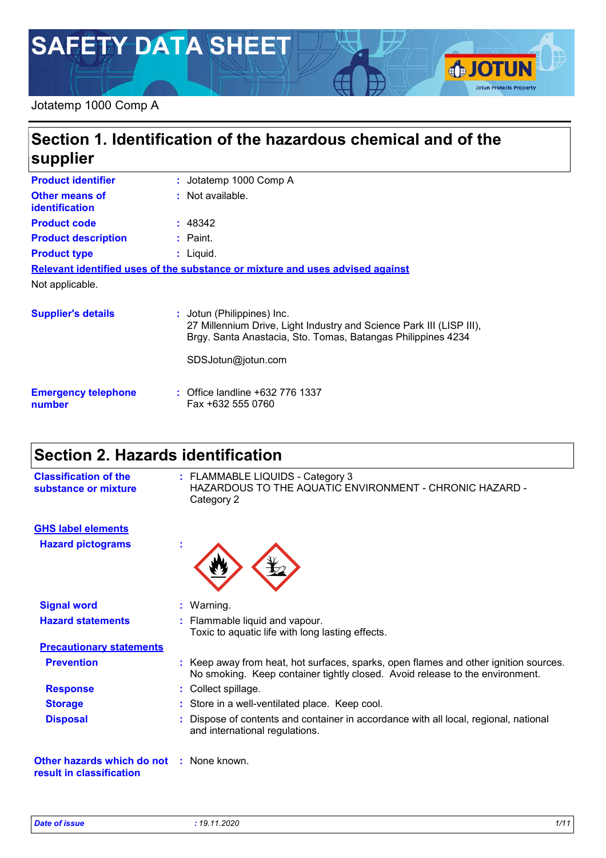# **SAFETY DATA SHEET**

#### Jotatemp 1000 Comp A

### **Section 1. Identification of the hazardous chemical and of the supplier**

| <b>Product identifier</b>               | : Jotatemp 1000 Comp A                                                                                                                                             |
|-----------------------------------------|--------------------------------------------------------------------------------------------------------------------------------------------------------------------|
| <b>Other means of</b><br>identification | : Not available.                                                                                                                                                   |
| <b>Product code</b>                     | : 48342                                                                                                                                                            |
| <b>Product description</b>              | $:$ Paint.                                                                                                                                                         |
| <b>Product type</b>                     | : Liguid.                                                                                                                                                          |
|                                         | Relevant identified uses of the substance or mixture and uses advised against                                                                                      |
| Not applicable.                         |                                                                                                                                                                    |
| <b>Supplier's details</b>               | : Jotun (Philippines) Inc.<br>27 Millennium Drive, Light Industry and Science Park III (LISP III),<br>Brgy. Santa Anastacia, Sto. Tomas, Batangas Philippines 4234 |
|                                         | SDSJotun@jotun.com                                                                                                                                                 |

| <b>Emergency telephone</b> | $\therefore$ Office landline +632 776 1337 |
|----------------------------|--------------------------------------------|
| number                     | Fax +632 555 0760                          |

### **Section 2. Hazards identification**

| <b>Classification of the</b><br>substance or mixture | : FLAMMABLE LIQUIDS - Category 3<br>HAZARDOUS TO THE AQUATIC ENVIRONMENT - CHRONIC HAZARD -<br>Category 2                                                            |
|------------------------------------------------------|----------------------------------------------------------------------------------------------------------------------------------------------------------------------|
| <b>GHS label elements</b>                            |                                                                                                                                                                      |
| <b>Hazard pictograms</b>                             |                                                                                                                                                                      |
| <b>Signal word</b>                                   | $:$ Warning.                                                                                                                                                         |
| <b>Hazard statements</b>                             | : Flammable liquid and vapour.<br>Toxic to aquatic life with long lasting effects.                                                                                   |
| <b>Precautionary statements</b>                      |                                                                                                                                                                      |
| <b>Prevention</b>                                    | : Keep away from heat, hot surfaces, sparks, open flames and other ignition sources.<br>No smoking. Keep container tightly closed. Avoid release to the environment. |
| <b>Response</b>                                      | : Collect spillage.                                                                                                                                                  |

**Disposal :** Dispose of contents and container in accordance with all local, regional, national and international regulations.

**Other hazards which do not :** None known. **result in classification**

**SJOTUN** 

**Jotun Protects Property**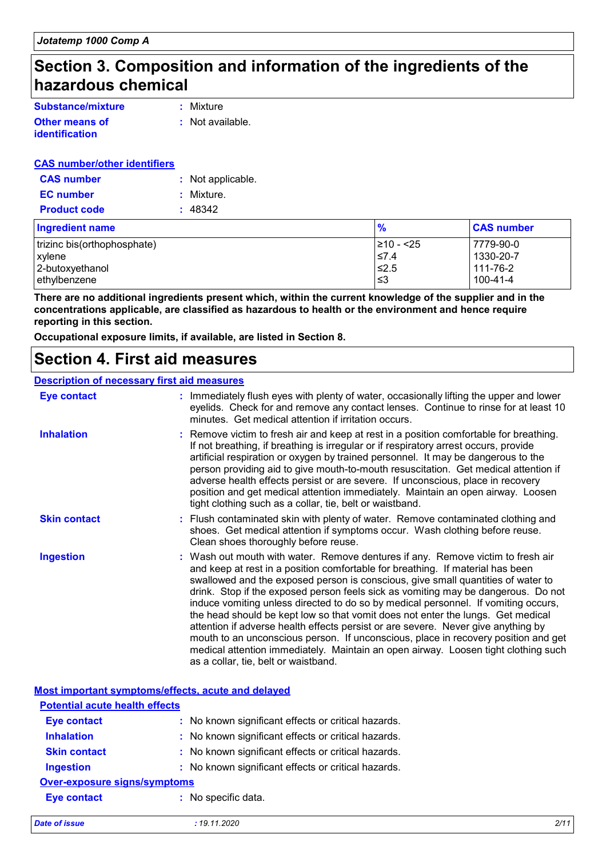### **Section 3. Composition and information of the ingredients of the hazardous chemical**

| Substance/mixture     | : Mixture        |
|-----------------------|------------------|
| <b>Other means of</b> | : Not available. |
| <i>identification</i> |                  |

#### **CAS number/other identifiers**

| <b>CAS number</b>   | : Not applicable. |
|---------------------|-------------------|
| <b>EC</b> number    | : Mixture.        |
| <b>Product code</b> | : 48342           |

| <b>Ingredient name</b>      | $\frac{9}{6}$ | <b>CAS number</b> |
|-----------------------------|---------------|-------------------|
| trizinc bis(orthophosphate) | l≥10 - <25    | 7779-90-0         |
| <b>xylene</b>               | ≤7.4          | 1330-20-7         |
| 2-butoxyethanol             | $\leq 2.5$    | 111-76-2          |
| ethylbenzene                | ≤3            | $100 - 41 - 4$    |

**There are no additional ingredients present which, within the current knowledge of the supplier and in the concentrations applicable, are classified as hazardous to health or the environment and hence require reporting in this section.**

**Occupational exposure limits, if available, are listed in Section 8.**

### **Section 4. First aid measures**

#### **Description of necessary first aid measures**

| <b>Eye contact</b>  | : Immediately flush eyes with plenty of water, occasionally lifting the upper and lower<br>eyelids. Check for and remove any contact lenses. Continue to rinse for at least 10<br>minutes. Get medical attention if irritation occurs.                                                                                                                                                                                                                                                                                                                                                                                                                                                                                                                                                                                       |
|---------------------|------------------------------------------------------------------------------------------------------------------------------------------------------------------------------------------------------------------------------------------------------------------------------------------------------------------------------------------------------------------------------------------------------------------------------------------------------------------------------------------------------------------------------------------------------------------------------------------------------------------------------------------------------------------------------------------------------------------------------------------------------------------------------------------------------------------------------|
| <b>Inhalation</b>   | : Remove victim to fresh air and keep at rest in a position comfortable for breathing.<br>If not breathing, if breathing is irregular or if respiratory arrest occurs, provide<br>artificial respiration or oxygen by trained personnel. It may be dangerous to the<br>person providing aid to give mouth-to-mouth resuscitation. Get medical attention if<br>adverse health effects persist or are severe. If unconscious, place in recovery<br>position and get medical attention immediately. Maintain an open airway. Loosen<br>tight clothing such as a collar, tie, belt or waistband.                                                                                                                                                                                                                                 |
| <b>Skin contact</b> | : Flush contaminated skin with plenty of water. Remove contaminated clothing and<br>shoes. Get medical attention if symptoms occur. Wash clothing before reuse.<br>Clean shoes thoroughly before reuse.                                                                                                                                                                                                                                                                                                                                                                                                                                                                                                                                                                                                                      |
| <b>Ingestion</b>    | : Wash out mouth with water. Remove dentures if any. Remove victim to fresh air<br>and keep at rest in a position comfortable for breathing. If material has been<br>swallowed and the exposed person is conscious, give small quantities of water to<br>drink. Stop if the exposed person feels sick as vomiting may be dangerous. Do not<br>induce vomiting unless directed to do so by medical personnel. If vomiting occurs,<br>the head should be kept low so that vomit does not enter the lungs. Get medical<br>attention if adverse health effects persist or are severe. Never give anything by<br>mouth to an unconscious person. If unconscious, place in recovery position and get<br>medical attention immediately. Maintain an open airway. Loosen tight clothing such<br>as a collar, tie, belt or waistband. |

**Most important symptoms/effects, acute and delayed**

| <b>Potential acute health effects</b> |                                                     |
|---------------------------------------|-----------------------------------------------------|
| <b>Eye contact</b>                    | : No known significant effects or critical hazards. |
| <b>Inhalation</b>                     | : No known significant effects or critical hazards. |
| <b>Skin contact</b>                   | : No known significant effects or critical hazards. |
| <b>Ingestion</b>                      | : No known significant effects or critical hazards. |
| <b>Over-exposure signs/symptoms</b>   |                                                     |
| <b>Eye contact</b>                    | : No specific data.                                 |
|                                       |                                                     |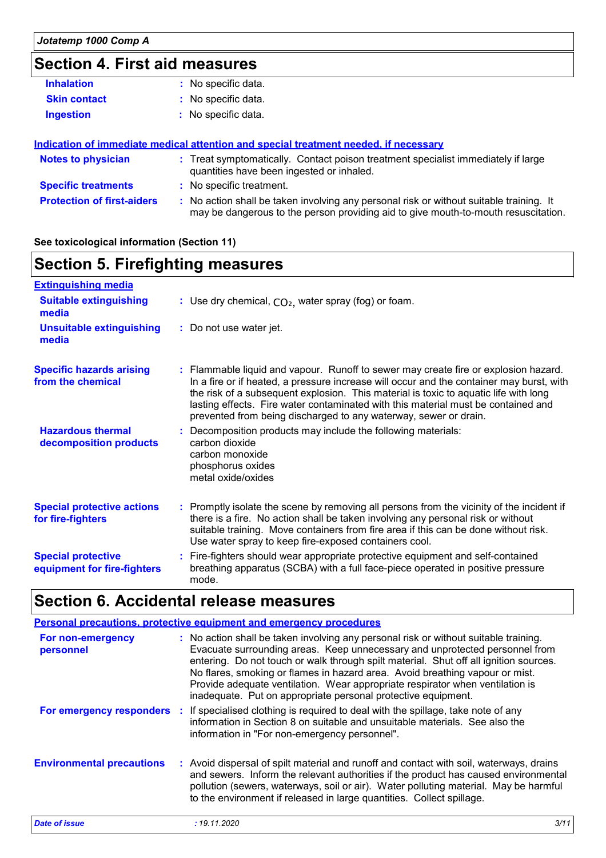### **Section 4. First aid measures**

| <b>Inhalation</b>   | : No specific data. |
|---------------------|---------------------|
| <b>Skin contact</b> | : No specific data. |
| <b>Ingestion</b>    | : No specific data. |
|                     |                     |

|                                   | Indication of immediate medical attention and special treatment needed, if necessary                                                                                          |  |
|-----------------------------------|-------------------------------------------------------------------------------------------------------------------------------------------------------------------------------|--|
| <b>Notes to physician</b>         | : Treat symptomatically. Contact poison treatment specialist immediately if large<br>quantities have been ingested or inhaled.                                                |  |
| <b>Specific treatments</b>        | : No specific treatment.                                                                                                                                                      |  |
| <b>Protection of first-aiders</b> | : No action shall be taken involving any personal risk or without suitable training. It<br>may be dangerous to the person providing aid to give mouth-to-mouth resuscitation. |  |

#### **See toxicological information (Section 11)**

### **Section 5. Firefighting measures**

| <b>Extinguishing media</b>                               |                                                                                                                                                                                                                                                                                                                                                                                                                                  |
|----------------------------------------------------------|----------------------------------------------------------------------------------------------------------------------------------------------------------------------------------------------------------------------------------------------------------------------------------------------------------------------------------------------------------------------------------------------------------------------------------|
| <b>Suitable extinguishing</b><br>media                   | : Use dry chemical, $CO2$ , water spray (fog) or foam.                                                                                                                                                                                                                                                                                                                                                                           |
| <b>Unsuitable extinguishing</b><br>media                 | : Do not use water jet.                                                                                                                                                                                                                                                                                                                                                                                                          |
| <b>Specific hazards arising</b><br>from the chemical     | : Flammable liquid and vapour. Runoff to sewer may create fire or explosion hazard.<br>In a fire or if heated, a pressure increase will occur and the container may burst, with<br>the risk of a subsequent explosion. This material is toxic to aquatic life with long<br>lasting effects. Fire water contaminated with this material must be contained and<br>prevented from being discharged to any waterway, sewer or drain. |
| <b>Hazardous thermal</b><br>decomposition products       | : Decomposition products may include the following materials:<br>carbon dioxide<br>carbon monoxide<br>phosphorus oxides<br>metal oxide/oxides                                                                                                                                                                                                                                                                                    |
| <b>Special protective actions</b><br>for fire-fighters   | : Promptly isolate the scene by removing all persons from the vicinity of the incident if<br>there is a fire. No action shall be taken involving any personal risk or without<br>suitable training. Move containers from fire area if this can be done without risk.<br>Use water spray to keep fire-exposed containers cool.                                                                                                    |
| <b>Special protective</b><br>equipment for fire-fighters | : Fire-fighters should wear appropriate protective equipment and self-contained<br>breathing apparatus (SCBA) with a full face-piece operated in positive pressure<br>mode.                                                                                                                                                                                                                                                      |

### **Section 6. Accidental release measures**

|                                  | <b>Personal precautions, protective equipment and emergency procedures</b>                                                                                                                                                                                                                                                                                                                                                                                                                     |
|----------------------------------|------------------------------------------------------------------------------------------------------------------------------------------------------------------------------------------------------------------------------------------------------------------------------------------------------------------------------------------------------------------------------------------------------------------------------------------------------------------------------------------------|
| For non-emergency<br>personnel   | : No action shall be taken involving any personal risk or without suitable training.<br>Evacuate surrounding areas. Keep unnecessary and unprotected personnel from<br>entering. Do not touch or walk through spilt material. Shut off all ignition sources.<br>No flares, smoking or flames in hazard area. Avoid breathing vapour or mist.<br>Provide adequate ventilation. Wear appropriate respirator when ventilation is<br>inadequate. Put on appropriate personal protective equipment. |
|                                  | For emergency responders : If specialised clothing is required to deal with the spillage, take note of any<br>information in Section 8 on suitable and unsuitable materials. See also the<br>information in "For non-emergency personnel".                                                                                                                                                                                                                                                     |
| <b>Environmental precautions</b> | : Avoid dispersal of spilt material and runoff and contact with soil, waterways, drains<br>and sewers. Inform the relevant authorities if the product has caused environmental<br>pollution (sewers, waterways, soil or air). Water polluting material. May be harmful<br>to the environment if released in large quantities. Collect spillage.                                                                                                                                                |
| <b>Date of issue</b>             | : 19.11.2020<br>3/11                                                                                                                                                                                                                                                                                                                                                                                                                                                                           |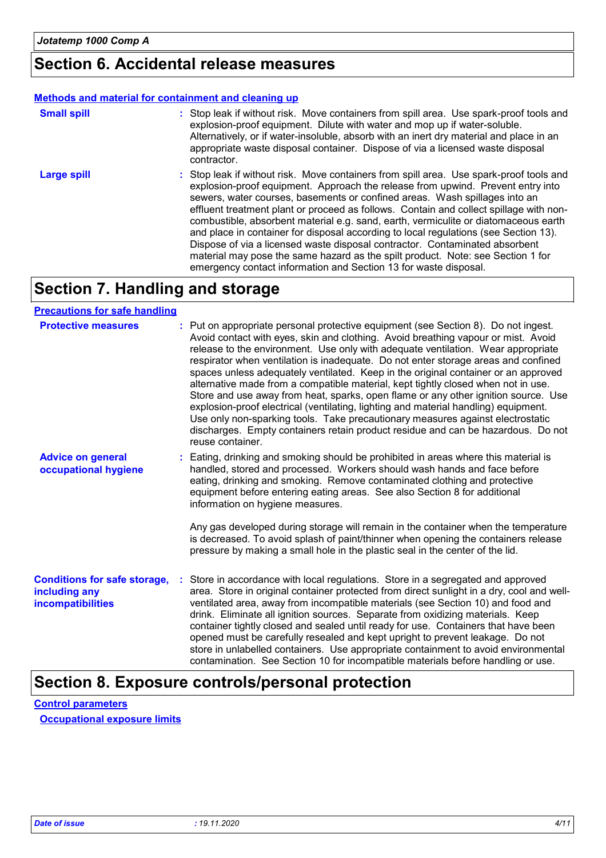### **Section 6. Accidental release measures**

#### **Methods and material for containment and cleaning up**

| <b>Small spill</b> | : Stop leak if without risk. Move containers from spill area. Use spark-proof tools and<br>explosion-proof equipment. Dilute with water and mop up if water-soluble.<br>Alternatively, or if water-insoluble, absorb with an inert dry material and place in an<br>appropriate waste disposal container. Dispose of via a licensed waste disposal<br>contractor.                                                                                                                                                                                                                                                                                                                                                                                                        |
|--------------------|-------------------------------------------------------------------------------------------------------------------------------------------------------------------------------------------------------------------------------------------------------------------------------------------------------------------------------------------------------------------------------------------------------------------------------------------------------------------------------------------------------------------------------------------------------------------------------------------------------------------------------------------------------------------------------------------------------------------------------------------------------------------------|
| <b>Large spill</b> | : Stop leak if without risk. Move containers from spill area. Use spark-proof tools and<br>explosion-proof equipment. Approach the release from upwind. Prevent entry into<br>sewers, water courses, basements or confined areas. Wash spillages into an<br>effluent treatment plant or proceed as follows. Contain and collect spillage with non-<br>combustible, absorbent material e.g. sand, earth, vermiculite or diatomaceous earth<br>and place in container for disposal according to local regulations (see Section 13).<br>Dispose of via a licensed waste disposal contractor. Contaminated absorbent<br>material may pose the same hazard as the spilt product. Note: see Section 1 for<br>emergency contact information and Section 13 for waste disposal. |

## **Section 7. Handling and storage**

#### **Precautions for safe handling**

| <b>Protective measures</b>                                                       | : Put on appropriate personal protective equipment (see Section 8). Do not ingest.<br>Avoid contact with eyes, skin and clothing. Avoid breathing vapour or mist. Avoid<br>release to the environment. Use only with adequate ventilation. Wear appropriate<br>respirator when ventilation is inadequate. Do not enter storage areas and confined<br>spaces unless adequately ventilated. Keep in the original container or an approved<br>alternative made from a compatible material, kept tightly closed when not in use.<br>Store and use away from heat, sparks, open flame or any other ignition source. Use<br>explosion-proof electrical (ventilating, lighting and material handling) equipment.<br>Use only non-sparking tools. Take precautionary measures against electrostatic<br>discharges. Empty containers retain product residue and can be hazardous. Do not<br>reuse container. |
|----------------------------------------------------------------------------------|-----------------------------------------------------------------------------------------------------------------------------------------------------------------------------------------------------------------------------------------------------------------------------------------------------------------------------------------------------------------------------------------------------------------------------------------------------------------------------------------------------------------------------------------------------------------------------------------------------------------------------------------------------------------------------------------------------------------------------------------------------------------------------------------------------------------------------------------------------------------------------------------------------|
| <b>Advice on general</b><br>occupational hygiene                                 | : Eating, drinking and smoking should be prohibited in areas where this material is<br>handled, stored and processed. Workers should wash hands and face before<br>eating, drinking and smoking. Remove contaminated clothing and protective<br>equipment before entering eating areas. See also Section 8 for additional<br>information on hygiene measures.                                                                                                                                                                                                                                                                                                                                                                                                                                                                                                                                       |
|                                                                                  | Any gas developed during storage will remain in the container when the temperature<br>is decreased. To avoid splash of paint/thinner when opening the containers release<br>pressure by making a small hole in the plastic seal in the center of the lid.                                                                                                                                                                                                                                                                                                                                                                                                                                                                                                                                                                                                                                           |
| <b>Conditions for safe storage,</b><br>including any<br><b>incompatibilities</b> | Store in accordance with local regulations. Store in a segregated and approved<br>area. Store in original container protected from direct sunlight in a dry, cool and well-<br>ventilated area, away from incompatible materials (see Section 10) and food and<br>drink. Eliminate all ignition sources. Separate from oxidizing materials. Keep<br>container tightly closed and sealed until ready for use. Containers that have been<br>opened must be carefully resealed and kept upright to prevent leakage. Do not<br>store in unlabelled containers. Use appropriate containment to avoid environmental<br>contamination. See Section 10 for incompatible materials before handling or use.                                                                                                                                                                                                   |

### **Section 8. Exposure controls/personal protection**

**Control parameters Occupational exposure limits**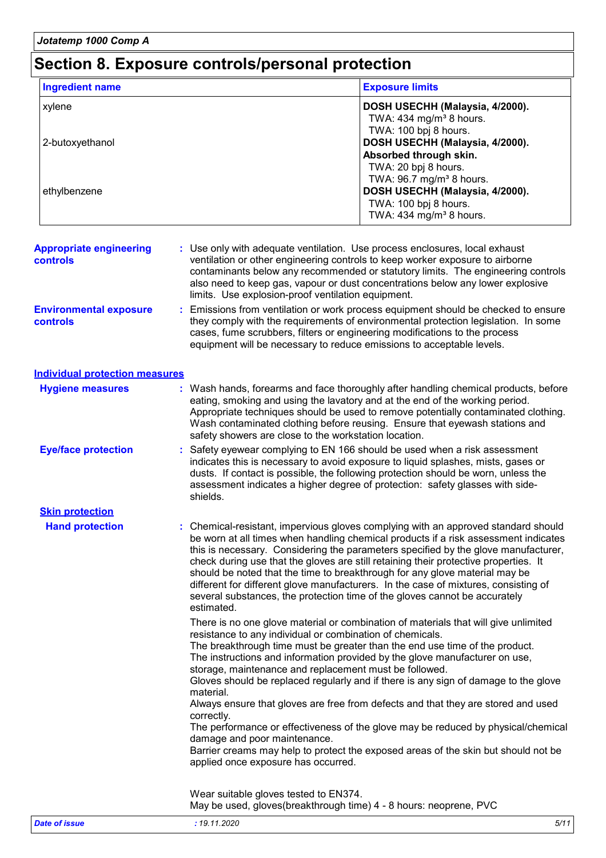### **Section 8. Exposure controls/personal protection**

| <b>Ingredient name</b>                     |                                                                                                                                  | <b>Exposure limits</b>                                                                                                                                                                                                                                                                                                                                                                                                                                                                                                                                                                                      |
|--------------------------------------------|----------------------------------------------------------------------------------------------------------------------------------|-------------------------------------------------------------------------------------------------------------------------------------------------------------------------------------------------------------------------------------------------------------------------------------------------------------------------------------------------------------------------------------------------------------------------------------------------------------------------------------------------------------------------------------------------------------------------------------------------------------|
| xylene                                     |                                                                                                                                  | DOSH USECHH (Malaysia, 4/2000).<br>TWA: $434$ mg/m <sup>3</sup> 8 hours.<br>TWA: 100 bpj 8 hours.                                                                                                                                                                                                                                                                                                                                                                                                                                                                                                           |
| 2-butoxyethanol                            |                                                                                                                                  | DOSH USECHH (Malaysia, 4/2000).<br>Absorbed through skin.<br>TWA: 20 bpj 8 hours.<br>TWA: 96.7 mg/m <sup>3</sup> 8 hours.                                                                                                                                                                                                                                                                                                                                                                                                                                                                                   |
| ethylbenzene                               |                                                                                                                                  | DOSH USECHH (Malaysia, 4/2000).<br>TWA: 100 bpj 8 hours.<br>TWA: $434$ mg/m <sup>3</sup> 8 hours.                                                                                                                                                                                                                                                                                                                                                                                                                                                                                                           |
| <b>Appropriate engineering</b><br>controls | limits. Use explosion-proof ventilation equipment.                                                                               | : Use only with adequate ventilation. Use process enclosures, local exhaust<br>ventilation or other engineering controls to keep worker exposure to airborne<br>contaminants below any recommended or statutory limits. The engineering controls<br>also need to keep gas, vapour or dust concentrations below any lower explosive                                                                                                                                                                                                                                                                          |
| <b>Environmental exposure</b><br>controls  |                                                                                                                                  | Emissions from ventilation or work process equipment should be checked to ensure<br>they comply with the requirements of environmental protection legislation. In some<br>cases, fume scrubbers, filters or engineering modifications to the process<br>equipment will be necessary to reduce emissions to acceptable levels.                                                                                                                                                                                                                                                                               |
| <b>Individual protection measures</b>      |                                                                                                                                  |                                                                                                                                                                                                                                                                                                                                                                                                                                                                                                                                                                                                             |
| <b>Hygiene measures</b>                    | safety showers are close to the workstation location.                                                                            | Wash hands, forearms and face thoroughly after handling chemical products, before<br>eating, smoking and using the lavatory and at the end of the working period.<br>Appropriate techniques should be used to remove potentially contaminated clothing.<br>Wash contaminated clothing before reusing. Ensure that eyewash stations and                                                                                                                                                                                                                                                                      |
| <b>Eye/face protection</b>                 | shields.                                                                                                                         | Safety eyewear complying to EN 166 should be used when a risk assessment<br>indicates this is necessary to avoid exposure to liquid splashes, mists, gases or<br>dusts. If contact is possible, the following protection should be worn, unless the<br>assessment indicates a higher degree of protection: safety glasses with side-                                                                                                                                                                                                                                                                        |
| <b>Skin protection</b>                     |                                                                                                                                  |                                                                                                                                                                                                                                                                                                                                                                                                                                                                                                                                                                                                             |
| <b>Hand protection</b>                     | estimated.                                                                                                                       | : Chemical-resistant, impervious gloves complying with an approved standard should<br>be worn at all times when handling chemical products if a risk assessment indicates<br>this is necessary. Considering the parameters specified by the glove manufacturer,<br>check during use that the gloves are still retaining their protective properties. It<br>should be noted that the time to breakthrough for any glove material may be<br>different for different glove manufacturers. In the case of mixtures, consisting of<br>several substances, the protection time of the gloves cannot be accurately |
|                                            | resistance to any individual or combination of chemicals.<br>storage, maintenance and replacement must be followed.<br>material. | There is no one glove material or combination of materials that will give unlimited<br>The breakthrough time must be greater than the end use time of the product.<br>The instructions and information provided by the glove manufacturer on use,<br>Gloves should be replaced regularly and if there is any sign of damage to the glove                                                                                                                                                                                                                                                                    |
|                                            | correctly.<br>damage and poor maintenance.<br>applied once exposure has occurred.                                                | Always ensure that gloves are free from defects and that they are stored and used<br>The performance or effectiveness of the glove may be reduced by physical/chemical<br>Barrier creams may help to protect the exposed areas of the skin but should not be                                                                                                                                                                                                                                                                                                                                                |
|                                            | Wear suitable gloves tested to EN374.                                                                                            |                                                                                                                                                                                                                                                                                                                                                                                                                                                                                                                                                                                                             |

May be used, gloves(breakthrough time) 4 - 8 hours: neoprene, PVC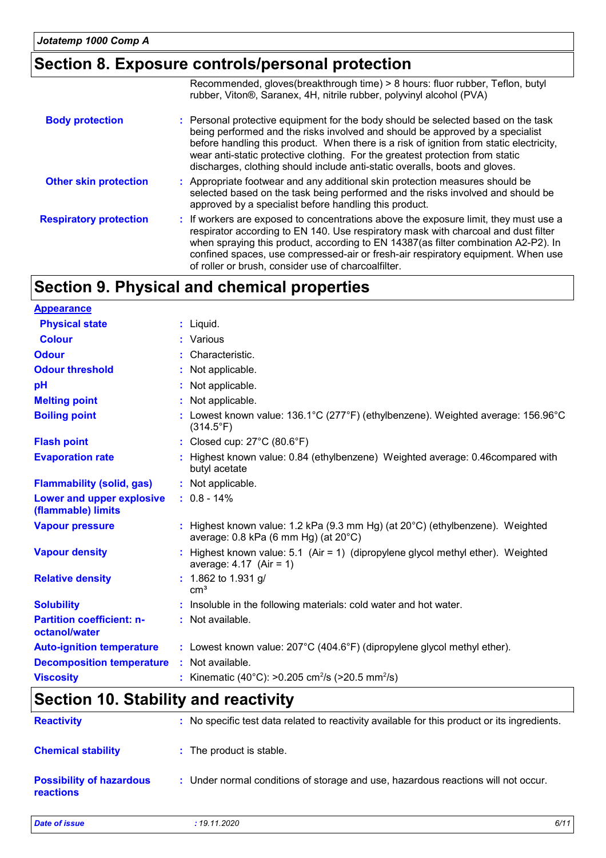### **Section 8. Exposure controls/personal protection**

|                               | Recommended, gloves(breakthrough time) > 8 hours: fluor rubber, Teflon, butyl<br>rubber, Viton®, Saranex, 4H, nitrile rubber, polyvinyl alcohol (PVA)                                                                                                                                                                                                                                                                         |
|-------------------------------|-------------------------------------------------------------------------------------------------------------------------------------------------------------------------------------------------------------------------------------------------------------------------------------------------------------------------------------------------------------------------------------------------------------------------------|
| <b>Body protection</b>        | : Personal protective equipment for the body should be selected based on the task<br>being performed and the risks involved and should be approved by a specialist<br>before handling this product. When there is a risk of ignition from static electricity,<br>wear anti-static protective clothing. For the greatest protection from static<br>discharges, clothing should include anti-static overalls, boots and gloves. |
| <b>Other skin protection</b>  | : Appropriate footwear and any additional skin protection measures should be<br>selected based on the task being performed and the risks involved and should be<br>approved by a specialist before handling this product.                                                                                                                                                                                                     |
| <b>Respiratory protection</b> | : If workers are exposed to concentrations above the exposure limit, they must use a<br>respirator according to EN 140. Use respiratory mask with charcoal and dust filter<br>when spraying this product, according to EN 14387(as filter combination A2-P2). In<br>confined spaces, use compressed-air or fresh-air respiratory equipment. When use<br>of roller or brush, consider use of charcoalfilter.                   |

### **Section 9. Physical and chemical properties**

| <b>Appearance</b>                                 |                                                                                                                                             |
|---------------------------------------------------|---------------------------------------------------------------------------------------------------------------------------------------------|
| <b>Physical state</b>                             | $:$ Liquid.                                                                                                                                 |
| <b>Colour</b>                                     | : Various                                                                                                                                   |
| <b>Odour</b>                                      | : Characteristic.                                                                                                                           |
| <b>Odour threshold</b>                            | : Not applicable.                                                                                                                           |
| pH                                                | : Not applicable.                                                                                                                           |
| <b>Melting point</b>                              | : Not applicable.                                                                                                                           |
| <b>Boiling point</b>                              | : Lowest known value: $136.1^{\circ}$ C (277°F) (ethylbenzene). Weighted average: $156.96^{\circ}$ C<br>$(314.5^{\circ}F)$                  |
| <b>Flash point</b>                                | : Closed cup: $27^{\circ}$ C (80.6 $^{\circ}$ F)                                                                                            |
| <b>Evaporation rate</b>                           | : Highest known value: 0.84 (ethylbenzene) Weighted average: 0.46 compared with<br>butyl acetate                                            |
| <b>Flammability (solid, gas)</b>                  | : Not applicable.                                                                                                                           |
| Lower and upper explosive<br>(flammable) limits   | $: 0.8 - 14\%$                                                                                                                              |
| <b>Vapour pressure</b>                            | : Highest known value: 1.2 kPa (9.3 mm Hg) (at $20^{\circ}$ C) (ethylbenzene). Weighted<br>average: $0.8$ kPa (6 mm Hg) (at $20^{\circ}$ C) |
| <b>Vapour density</b>                             | Highest known value: 5.1 (Air = 1) (dipropylene glycol methyl ether). Weighted<br>average: $4.17$ (Air = 1)                                 |
| <b>Relative density</b>                           | : 1.862 to 1.931 g/<br>cm <sup>3</sup>                                                                                                      |
| <b>Solubility</b>                                 | : Insoluble in the following materials: cold water and hot water.                                                                           |
| <b>Partition coefficient: n-</b><br>octanol/water | : Not available.                                                                                                                            |
| <b>Auto-ignition temperature</b>                  | : Lowest known value: 207°C (404.6°F) (dipropylene glycol methyl ether).                                                                    |
| <b>Decomposition temperature</b>                  | : Not available.                                                                                                                            |
| <b>Viscosity</b>                                  | : Kinematic (40°C): >0.205 cm <sup>2</sup> /s (>20.5 mm <sup>2</sup> /s)                                                                    |

### **Section 10. Stability and reactivity**

| <b>Reactivity</b>                            | : No specific test data related to reactivity available for this product or its ingredients. |
|----------------------------------------------|----------------------------------------------------------------------------------------------|
| <b>Chemical stability</b>                    | : The product is stable.                                                                     |
| <b>Possibility of hazardous</b><br>reactions | : Under normal conditions of storage and use, hazardous reactions will not occur.            |

*Date of issue : 19.11.2020 6/11*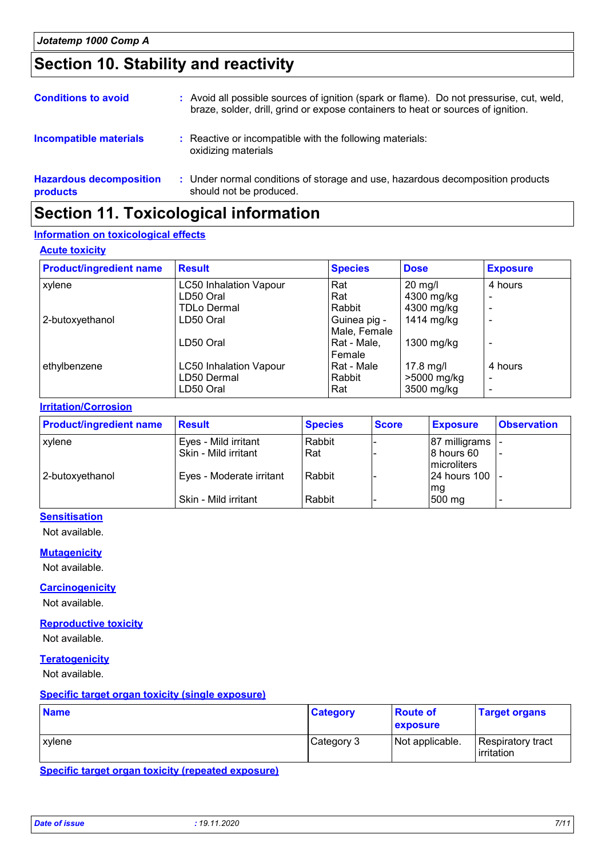### **Section 10. Stability and reactivity**

| <b>Conditions to avoid</b>                 | : Avoid all possible sources of ignition (spark or flame). Do not pressurise, cut, weld,<br>braze, solder, drill, grind or expose containers to heat or sources of ignition. |
|--------------------------------------------|------------------------------------------------------------------------------------------------------------------------------------------------------------------------------|
| <b>Incompatible materials</b>              | : Reactive or incompatible with the following materials:<br>oxidizing materials                                                                                              |
| <b>Hazardous decomposition</b><br>products | : Under normal conditions of storage and use, hazardous decomposition products<br>should not be produced.                                                                    |

### **Section 11. Toxicological information**

#### **Information on toxicological effects**

#### **Acute toxicity**

| <b>Product/ingredient name</b> | <b>Result</b>                 | <b>Species</b> | <b>Dose</b>       | <b>Exposure</b> |
|--------------------------------|-------------------------------|----------------|-------------------|-----------------|
| xylene                         | <b>LC50 Inhalation Vapour</b> | Rat            | $20 \text{ mg/l}$ | 4 hours         |
|                                | LD50 Oral                     | Rat            | 4300 mg/kg        |                 |
|                                | <b>TDLo Dermal</b>            | Rabbit         | 4300 mg/kg        | -               |
| 2-butoxyethanol                | LD50 Oral                     | Guinea pig -   | 1414 mg/kg        |                 |
|                                |                               | Male, Female   |                   |                 |
|                                | LD50 Oral                     | Rat - Male,    | $1300$ mg/kg      |                 |
|                                |                               | Female         |                   |                 |
| ethylbenzene                   | <b>LC50 Inhalation Vapour</b> | Rat - Male     | 17.8 mg/l         | 4 hours         |
|                                | LD50 Dermal                   | Rabbit         | >5000 mg/kg       |                 |
|                                | LD50 Oral                     | Rat            | 3500 mg/kg        |                 |

#### **Irritation/Corrosion**

| <b>Product/ingredient name</b> | <b>Result</b>            | <b>Species</b> | <b>Score</b> | <b>Exposure</b> | <b>Observation</b> |
|--------------------------------|--------------------------|----------------|--------------|-----------------|--------------------|
| xylene                         | Eyes - Mild irritant     | Rabbit         |              | 87 milligrams   |                    |
|                                | Skin - Mild irritant     | Rat            |              | 8 hours 60      |                    |
|                                |                          |                |              | microliters     |                    |
| 2-butoxyethanol                | Eyes - Moderate irritant | Rabbit         |              | 24 hours 100 -  |                    |
|                                |                          |                |              | mg              |                    |
|                                | Skin - Mild irritant     | Rabbit         |              | 500 mg          |                    |

### **Sensitisation**

Not available.

#### **Mutagenicity**

Not available.

#### **Carcinogenicity**

Not available.

#### **Reproductive toxicity**

Not available.

#### **Teratogenicity**

Not available.

#### **Specific target organ toxicity (single exposure)**

| <b>Name</b> | <b>Category</b> | <b>Route of</b><br>exposure | <b>Target organs</b>            |
|-------------|-----------------|-----------------------------|---------------------------------|
| xylene      | Category 3      | Not applicable.             | Respiratory tract<br>irritation |

**Specific target organ toxicity (repeated exposure)**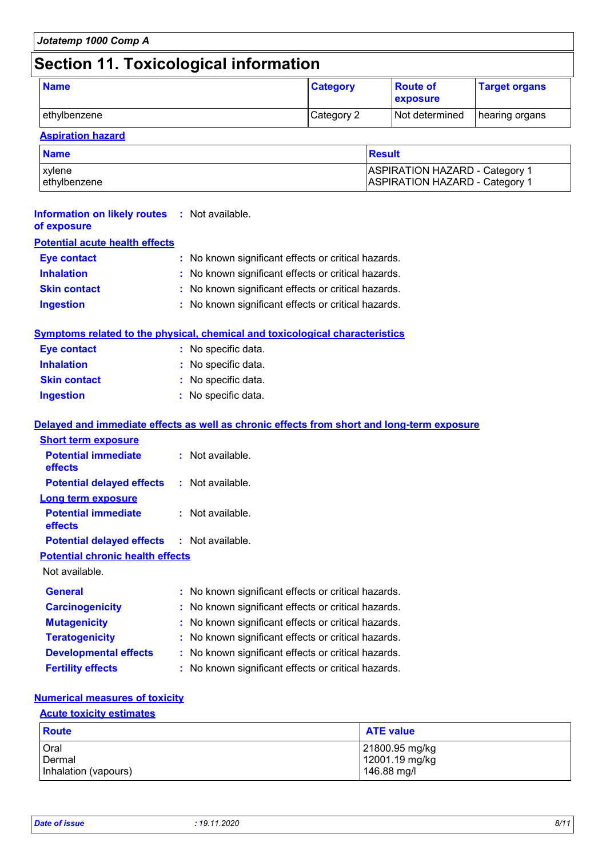| Jotatemp 1000 Comp A                  |  |
|---------------------------------------|--|
| Section 11. Toxicological information |  |

| <b>Name</b>  | <b>Category</b> | <b>Route of</b><br>exposure | <b>Target organs</b> |
|--------------|-----------------|-----------------------------|----------------------|
| ethylbenzene | Category 2      | Not determined              | hearing organs       |

#### **Aspiration hazard**

| <b>Name</b>   | Result                                |
|---------------|---------------------------------------|
| xvlene        | <b>ASPIRATION HAZARD - Category 1</b> |
| lethvlbenzene | <b>ASPIRATION HAZARD - Category 1</b> |

| <b>Information on likely routes : Not available.</b><br>of exposure |                                                                                     |
|---------------------------------------------------------------------|-------------------------------------------------------------------------------------|
| <b>Potential acute health effects</b>                               |                                                                                     |
| <b>Eye contact</b>                                                  | : No known significant effects or critical hazards.                                 |
| <b>Inhalation</b>                                                   | : No known significant effects or critical hazards.                                 |
| <b>Skin contact</b>                                                 | : No known significant effects or critical hazards.                                 |
| <b>Ingestion</b>                                                    | : No known significant effects or critical hazards.                                 |
|                                                                     |                                                                                     |
|                                                                     | <b>Symptoms related to the physical, chemical and toxicological characteristics</b> |

| <b>Eye contact</b>  | : No specific data. |
|---------------------|---------------------|
| <b>Inhalation</b>   | : No specific data. |
| <b>Skin contact</b> | : No specific data. |
| <b>Ingestion</b>    | : No specific data. |

#### **Delayed and immediate effects as well as chronic effects from short and long-term exposure**

| <b>Short term exposure</b>                        |                                                     |
|---------------------------------------------------|-----------------------------------------------------|
| <b>Potential immediate</b><br>effects             | : Not available.                                    |
| <b>Potential delayed effects</b>                  | : Not available.                                    |
| <b>Long term exposure</b>                         |                                                     |
| <b>Potential immediate</b><br><b>effects</b>      | : Not available.                                    |
| <b>Potential delayed effects : Not available.</b> |                                                     |
| <b>Potential chronic health effects</b>           |                                                     |
| Not available.                                    |                                                     |
| <b>General</b>                                    | : No known significant effects or critical hazards. |
| <b>Carcinogenicity</b>                            | : No known significant effects or critical hazards. |
| <b>Mutagenicity</b>                               | : No known significant effects or critical hazards. |
| <b>Teratogenicity</b>                             | : No known significant effects or critical hazards. |
| <b>Developmental effects</b>                      | : No known significant effects or critical hazards. |
| <b>Fertility effects</b>                          | : No known significant effects or critical hazards. |

#### **Numerical measures of toxicity**

#### **Acute toxicity estimates**

| <b>Route</b>         | <b>ATE value</b> |
|----------------------|------------------|
| <b>Oral</b>          | 21800.95 mg/kg   |
| <b>Dermal</b>        | 12001.19 mg/kg   |
| Inhalation (vapours) | 146.88 mg/l      |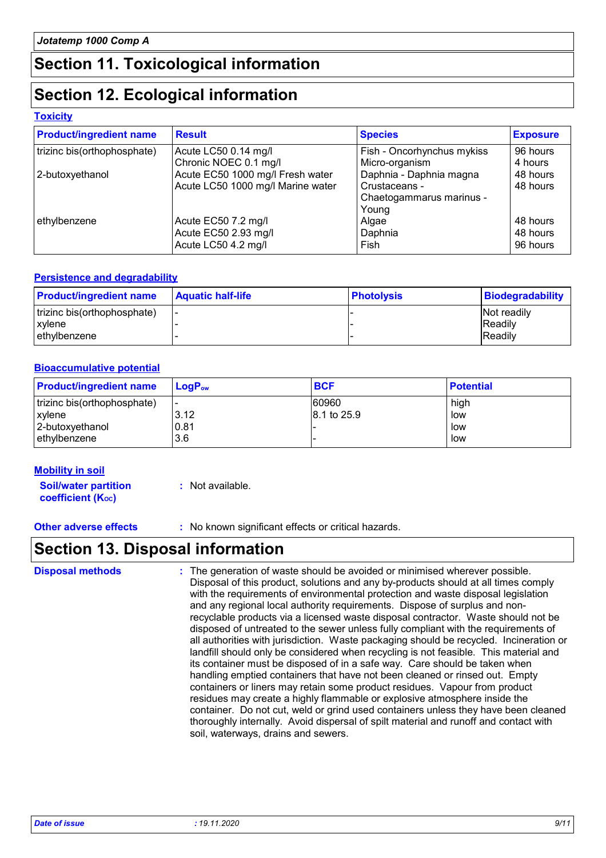### **Section 11. Toxicological information**

### **Section 12. Ecological information**

#### **Toxicity**

| <b>Product/ingredient name</b> | <b>Result</b>                     | <b>Species</b>             | <b>Exposure</b> |
|--------------------------------|-----------------------------------|----------------------------|-----------------|
| trizinc bis(orthophosphate)    | Acute LC50 0.14 mg/l              | Fish - Oncorhynchus mykiss | 96 hours        |
|                                | Chronic NOEC 0.1 mg/l             | Micro-organism             | 4 hours         |
| 2-butoxyethanol                | Acute EC50 1000 mg/l Fresh water  | Daphnia - Daphnia magna    | 48 hours        |
|                                | Acute LC50 1000 mg/l Marine water | Crustaceans -              | 48 hours        |
|                                |                                   | Chaetogammarus marinus -   |                 |
|                                |                                   | Young                      |                 |
| ethylbenzene                   | Acute EC50 7.2 mg/l               | Algae                      | 48 hours        |
|                                | Acute EC50 2.93 mg/l              | Daphnia                    | 48 hours        |
|                                | Acute LC50 4.2 mg/l               | Fish                       | 96 hours        |

#### **Persistence and degradability**

| <b>Product/ingredient name</b> | <b>Aquatic half-life</b> | <b>Photolysis</b> | <b>Biodegradability</b> |
|--------------------------------|--------------------------|-------------------|-------------------------|
| trizinc bis(orthophosphate)    |                          |                   | Not readily             |
| xylene                         |                          |                   | <b>Readily</b>          |
| l ethvlbenzene                 |                          |                   | Readily                 |

#### **Bioaccumulative potential**

| <b>Product/ingredient name</b> | ⊺LoɑP <sub>ow</sub> | <b>BCF</b>  | <b>Potential</b> |
|--------------------------------|---------------------|-------------|------------------|
| trizinc bis(orthophosphate)    |                     | 60960       | high             |
| l xvlene                       | 3.12                | 8.1 to 25.9 | low              |
| 2-butoxyethanol                | 0.81                |             | low              |
| lethylbenzene                  | 3.6                 |             | low              |

#### **Mobility in soil**

**Soil/water partition coefficient (Koc)** 

**:** Not available.

**Other adverse effects** : No known significant effects or critical hazards.

### **Section 13. Disposal information**

The generation of waste should be avoided or minimised wherever possible. Disposal of this product, solutions and any by-products should at all times comply with the requirements of environmental protection and waste disposal legislation and any regional local authority requirements. Dispose of surplus and nonrecyclable products via a licensed waste disposal contractor. Waste should not be disposed of untreated to the sewer unless fully compliant with the requirements of all authorities with jurisdiction. Waste packaging should be recycled. Incineration or landfill should only be considered when recycling is not feasible. This material and its container must be disposed of in a safe way. Care should be taken when handling emptied containers that have not been cleaned or rinsed out. Empty containers or liners may retain some product residues. Vapour from product residues may create a highly flammable or explosive atmosphere inside the container. Do not cut, weld or grind used containers unless they have been cleaned thoroughly internally. Avoid dispersal of spilt material and runoff and contact with soil, waterways, drains and sewers. **Disposal methods :**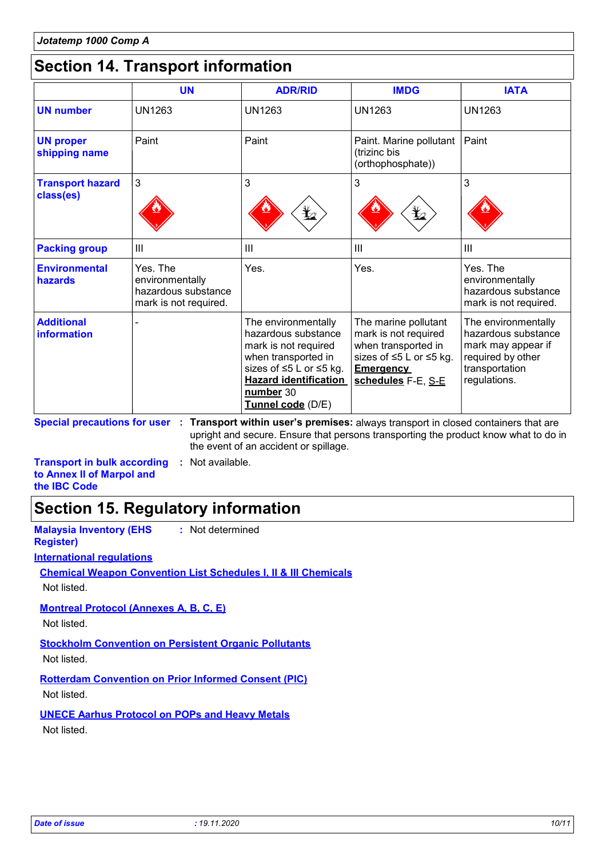### **Section 14. Transport information**

|                                      | <b>UN</b>                                                                   | <b>ADR/RID</b>                                                                                                                                                                         | <b>IMDG</b>                                                                                                                              | <b>IATA</b>                                                                                                             |
|--------------------------------------|-----------------------------------------------------------------------------|----------------------------------------------------------------------------------------------------------------------------------------------------------------------------------------|------------------------------------------------------------------------------------------------------------------------------------------|-------------------------------------------------------------------------------------------------------------------------|
| <b>UN number</b>                     | <b>UN1263</b>                                                               | <b>UN1263</b>                                                                                                                                                                          | <b>UN1263</b>                                                                                                                            | <b>UN1263</b>                                                                                                           |
| <b>UN proper</b><br>shipping name    | Paint                                                                       | Paint                                                                                                                                                                                  | Paint. Marine pollutant<br>(trizinc bis<br>(orthophosphate))                                                                             | Paint                                                                                                                   |
| <b>Transport hazard</b><br>class(es) | 3                                                                           | 3                                                                                                                                                                                      | 3<br>⊁∠                                                                                                                                  | 3                                                                                                                       |
| <b>Packing group</b>                 | III                                                                         | $\mathbf{III}$                                                                                                                                                                         | III                                                                                                                                      | Ш                                                                                                                       |
| <b>Environmental</b><br>hazards      | Yes. The<br>environmentally<br>hazardous substance<br>mark is not required. | Yes.                                                                                                                                                                                   | Yes.                                                                                                                                     | Yes. The<br>environmentally<br>hazardous substance<br>mark is not required.                                             |
| <b>Additional</b><br>information     |                                                                             | The environmentally<br>hazardous substance<br>mark is not required<br>when transported in<br>sizes of ≤5 L or ≤5 kg.<br><b>Hazard identification</b><br>number 30<br>Tunnel code (D/E) | The marine pollutant<br>mark is not required<br>when transported in<br>sizes of ≤5 L or ≤5 kg.<br><b>Emergency</b><br>schedules F-E, S-E | The environmentally<br>hazardous substance<br>mark may appear if<br>required by other<br>transportation<br>regulations. |

**Special precautions for user Transport within user's premises:** always transport in closed containers that are **:** upright and secure. Ensure that persons transporting the product know what to do in the event of an accident or spillage.

**Transport in bulk according :** Not available. **to Annex II of Marpol and the IBC Code**

### **Section 15. Regulatory information**

| <b>Malaysia Inventory (EHS</b><br>: Not determined<br><b>Register</b> )    |
|----------------------------------------------------------------------------|
| <b>International regulations</b>                                           |
| <b>Chemical Weapon Convention List Schedules I. II &amp; III Chemicals</b> |
| Not listed.                                                                |
| <b>Montreal Protocol (Annexes A, B, C, E)</b>                              |
| Not listed.                                                                |
| <b>Stockholm Convention on Persistent Organic Pollutants</b>               |
| Not listed.                                                                |
| <b>Rotterdam Convention on Prior Informed Consent (PIC)</b>                |
| Not listed.                                                                |
| <b>UNECE Aarhus Protocol on POPs and Heavy Metals</b>                      |

Not listed.